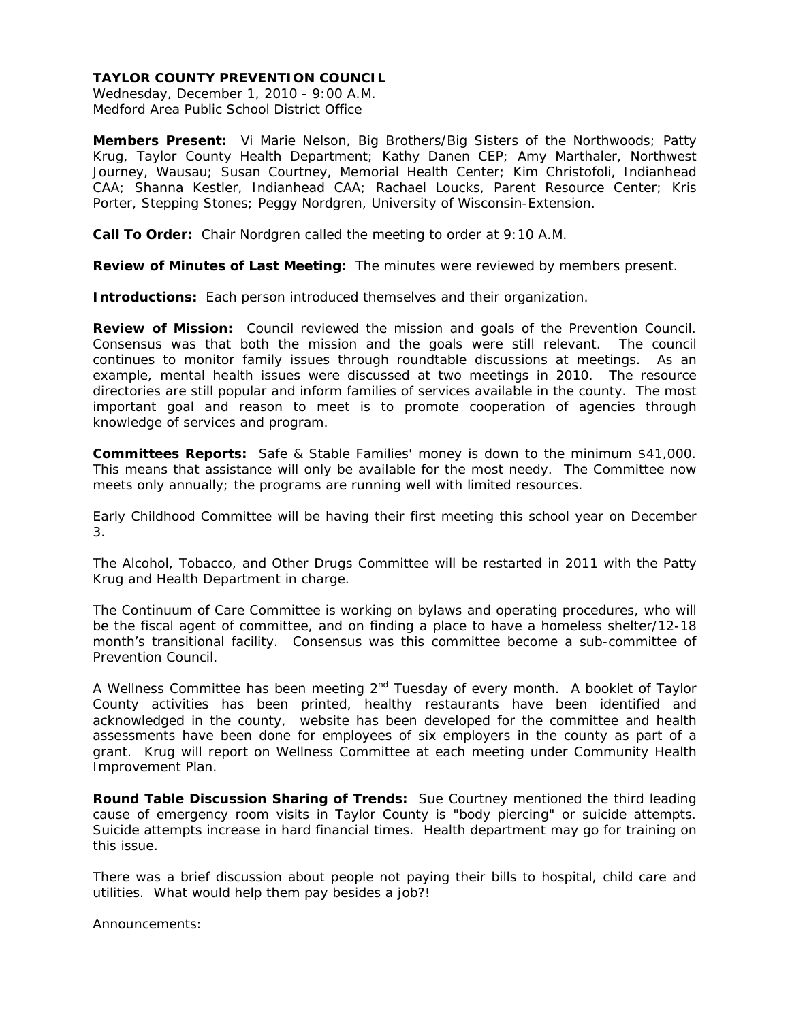Wednesday, December 1, 2010 - 9:00 A.M. Medford Area Public School District Office

**Members Present:** Vi Marie Nelson, Big Brothers/Big Sisters of the Northwoods; Patty Krug, Taylor County Health Department; Kathy Danen CEP; Amy Marthaler, Northwest Journey, Wausau; Susan Courtney, Memorial Health Center; Kim Christofoli, Indianhead CAA; Shanna Kestler, Indianhead CAA; Rachael Loucks, Parent Resource Center; Kris Porter, Stepping Stones; Peggy Nordgren, University of Wisconsin-Extension.

**Call To Order:** Chair Nordgren called the meeting to order at 9:10 A.M.

**Review of Minutes of Last Meeting:** The minutes were reviewed by members present.

**Introductions:** Each person introduced themselves and their organization.

**Review of Mission:** Council reviewed the mission and goals of the Prevention Council. Consensus was that both the mission and the goals were still relevant. The council continues to monitor family issues through roundtable discussions at meetings. As an example, mental health issues were discussed at two meetings in 2010. The resource directories are still popular and inform families of services available in the county. The most important goal and reason to meet is to promote cooperation of agencies through knowledge of services and program.

**Committees Reports:** Safe & Stable Families' money is down to the minimum \$41,000. This means that assistance will only be available for the most needy. The Committee now meets only annually; the programs are running well with limited resources.

Early Childhood Committee will be having their first meeting this school year on December 3.

The Alcohol, Tobacco, and Other Drugs Committee will be restarted in 2011 with the Patty Krug and Health Department in charge.

The Continuum of Care Committee is working on bylaws and operating procedures, who will be the fiscal agent of committee, and on finding a place to have a homeless shelter/12-18 month's transitional facility. Consensus was this committee become a sub-committee of Prevention Council.

A Wellness Committee has been meeting  $2<sup>nd</sup>$  Tuesday of every month. A booklet of Taylor County activities has been printed, healthy restaurants have been identified and acknowledged in the county, website has been developed for the committee and health assessments have been done for employees of six employers in the county as part of a grant. Krug will report on Wellness Committee at each meeting under Community Health Improvement Plan.

**Round Table Discussion Sharing of Trends:** Sue Courtney mentioned the third leading cause of emergency room visits in Taylor County is "body piercing" or suicide attempts. Suicide attempts increase in hard financial times. Health department may go for training on this issue.

There was a brief discussion about people not paying their bills to hospital, child care and utilities. What would help them pay besides a job?!

Announcements: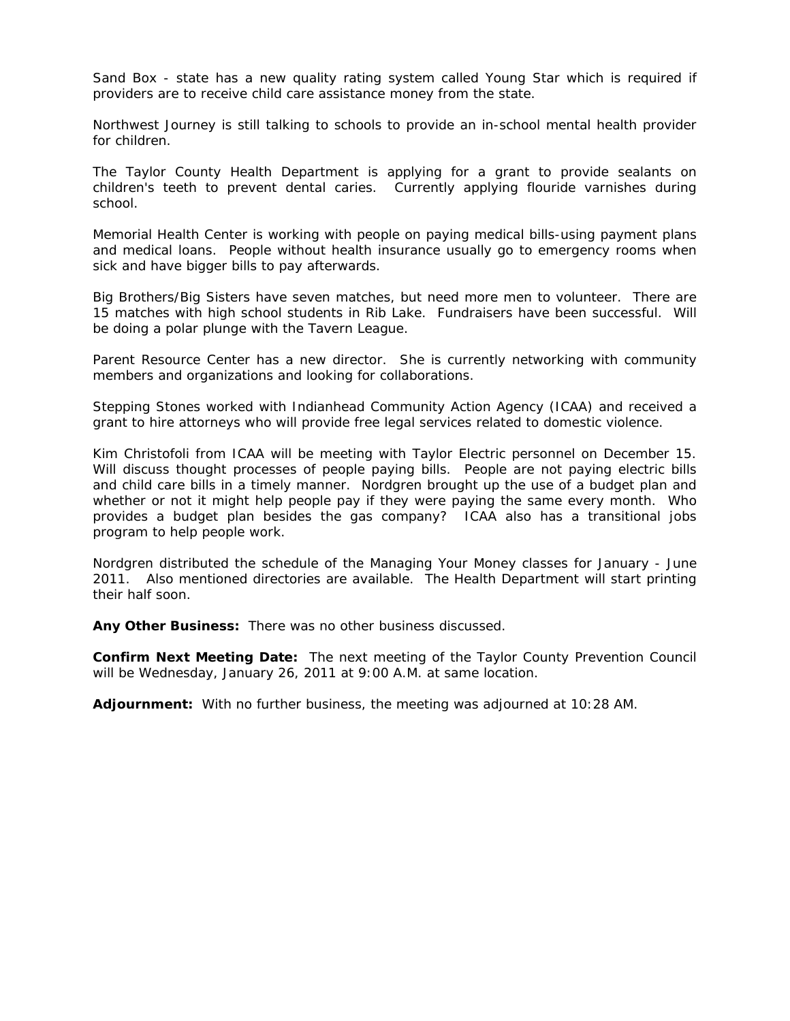Sand Box - state has a new quality rating system called Young Star which is required if providers are to receive child care assistance money from the state.

Northwest Journey is still talking to schools to provide an in-school mental health provider for children.

The Taylor County Health Department is applying for a grant to provide sealants on children's teeth to prevent dental caries. Currently applying flouride varnishes during school.

Memorial Health Center is working with people on paying medical bills-using payment plans and medical loans. People without health insurance usually go to emergency rooms when sick and have bigger bills to pay afterwards.

Big Brothers/Big Sisters have seven matches, but need more men to volunteer. There are 15 matches with high school students in Rib Lake. Fundraisers have been successful. Will be doing a polar plunge with the Tavern League.

Parent Resource Center has a new director. She is currently networking with community members and organizations and looking for collaborations.

Stepping Stones worked with Indianhead Community Action Agency (ICAA) and received a grant to hire attorneys who will provide free legal services related to domestic violence.

Kim Christofoli from ICAA will be meeting with Taylor Electric personnel on December 15. Will discuss thought processes of people paying bills. People are not paying electric bills and child care bills in a timely manner. Nordgren brought up the use of a budget plan and whether or not it might help people pay if they were paying the same every month. Who provides a budget plan besides the gas company? ICAA also has a transitional jobs program to help people work.

Nordgren distributed the schedule of the Managing Your Money classes for January - June 2011. Also mentioned directories are available. The Health Department will start printing their half soon.

**Any Other Business:** There was no other business discussed.

**Confirm Next Meeting Date:** The next meeting of the Taylor County Prevention Council will be Wednesday, January 26, 2011 at 9:00 A.M. at same location.

**Adjournment:** With no further business, the meeting was adjourned at 10:28 AM.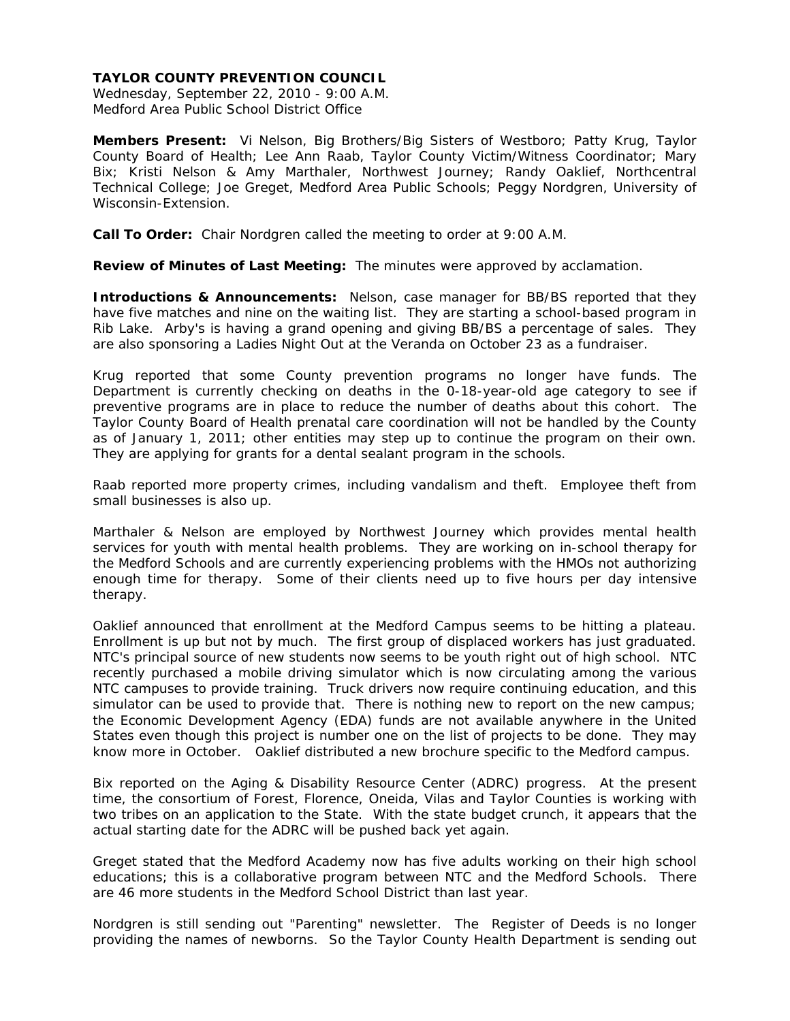Wednesday, September 22, 2010 - 9:00 A.M. Medford Area Public School District Office

**Members Present:** Vi Nelson, Big Brothers/Big Sisters of Westboro; Patty Krug, Taylor County Board of Health; Lee Ann Raab, Taylor County Victim/Witness Coordinator; Mary Bix; Kristi Nelson & Amy Marthaler, Northwest Journey; Randy Oaklief, Northcentral Technical College; Joe Greget, Medford Area Public Schools; Peggy Nordgren, University of Wisconsin-Extension.

**Call To Order:** Chair Nordgren called the meeting to order at 9:00 A.M.

**Review of Minutes of Last Meeting:** The minutes were approved by acclamation.

**Introductions & Announcements:** Nelson, case manager for BB/BS reported that they have five matches and nine on the waiting list. They are starting a school-based program in Rib Lake. Arby's is having a grand opening and giving BB/BS a percentage of sales. They are also sponsoring a Ladies Night Out at the Veranda on October 23 as a fundraiser.

Krug reported that some County prevention programs no longer have funds. The Department is currently checking on deaths in the 0-18-year-old age category to see if preventive programs are in place to reduce the number of deaths about this cohort. The Taylor County Board of Health prenatal care coordination will not be handled by the County as of January 1, 2011; other entities may step up to continue the program on their own. They are applying for grants for a dental sealant program in the schools.

Raab reported more property crimes, including vandalism and theft. Employee theft from small businesses is also up.

Marthaler & Nelson are employed by Northwest Journey which provides mental health services for youth with mental health problems. They are working on in-school therapy for the Medford Schools and are currently experiencing problems with the HMOs not authorizing enough time for therapy. Some of their clients need up to five hours per day intensive therapy.

Oaklief announced that enrollment at the Medford Campus seems to be hitting a plateau. Enrollment is up but not by much. The first group of displaced workers has just graduated. NTC's principal source of new students now seems to be youth right out of high school. NTC recently purchased a mobile driving simulator which is now circulating among the various NTC campuses to provide training. Truck drivers now require continuing education, and this simulator can be used to provide that. There is nothing new to report on the new campus; the Economic Development Agency (EDA) funds are not available anywhere in the United States even though this project is number one on the list of projects to be done. They may know more in October. Oaklief distributed a new brochure specific to the Medford campus.

Bix reported on the Aging & Disability Resource Center (ADRC) progress. At the present time, the consortium of Forest, Florence, Oneida, Vilas and Taylor Counties is working with two tribes on an application to the State. With the state budget crunch, it appears that the actual starting date for the ADRC will be pushed back yet again.

Greget stated that the Medford Academy now has five adults working on their high school educations; this is a collaborative program between NTC and the Medford Schools. There are 46 more students in the Medford School District than last year.

Nordgren is still sending out "Parenting" newsletter. The Register of Deeds is no longer providing the names of newborns. So the Taylor County Health Department is sending out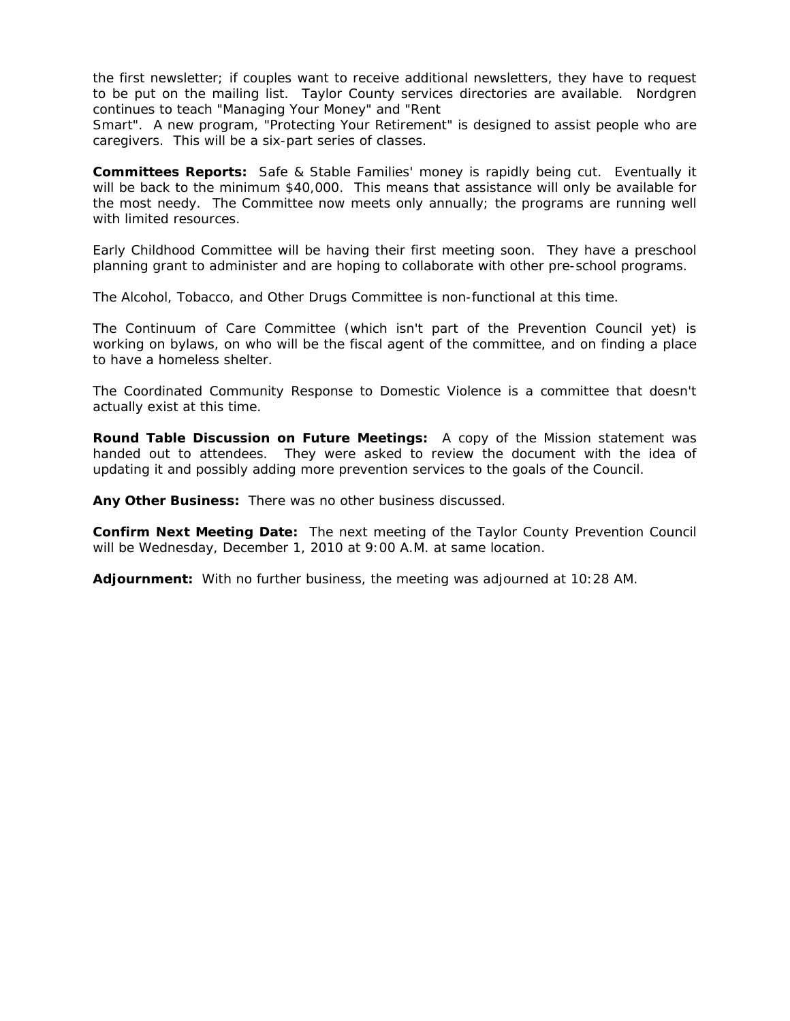the first newsletter; if couples want to receive additional newsletters, they have to request to be put on the mailing list. Taylor County services directories are available. Nordgren continues to teach "Managing Your Money" and "Rent

Smart". A new program, "Protecting Your Retirement" is designed to assist people who are caregivers. This will be a six-part series of classes.

**Committees Reports:** Safe & Stable Families' money is rapidly being cut. Eventually it will be back to the minimum \$40,000. This means that assistance will only be available for the most needy. The Committee now meets only annually; the programs are running well with limited resources.

Early Childhood Committee will be having their first meeting soon. They have a preschool planning grant to administer and are hoping to collaborate with other pre-school programs.

The Alcohol, Tobacco, and Other Drugs Committee is non-functional at this time.

The Continuum of Care Committee (which isn't part of the Prevention Council yet) is working on bylaws, on who will be the fiscal agent of the committee, and on finding a place to have a homeless shelter.

The Coordinated Community Response to Domestic Violence is a committee that doesn't actually exist at this time.

**Round Table Discussion on Future Meetings:** A copy of the Mission statement was handed out to attendees. They were asked to review the document with the idea of updating it and possibly adding more prevention services to the goals of the Council.

**Any Other Business:** There was no other business discussed.

**Confirm Next Meeting Date:** The next meeting of the Taylor County Prevention Council will be Wednesday, December 1, 2010 at 9:00 A.M. at same location.

**Adjournment:** With no further business, the meeting was adjourned at 10:28 AM.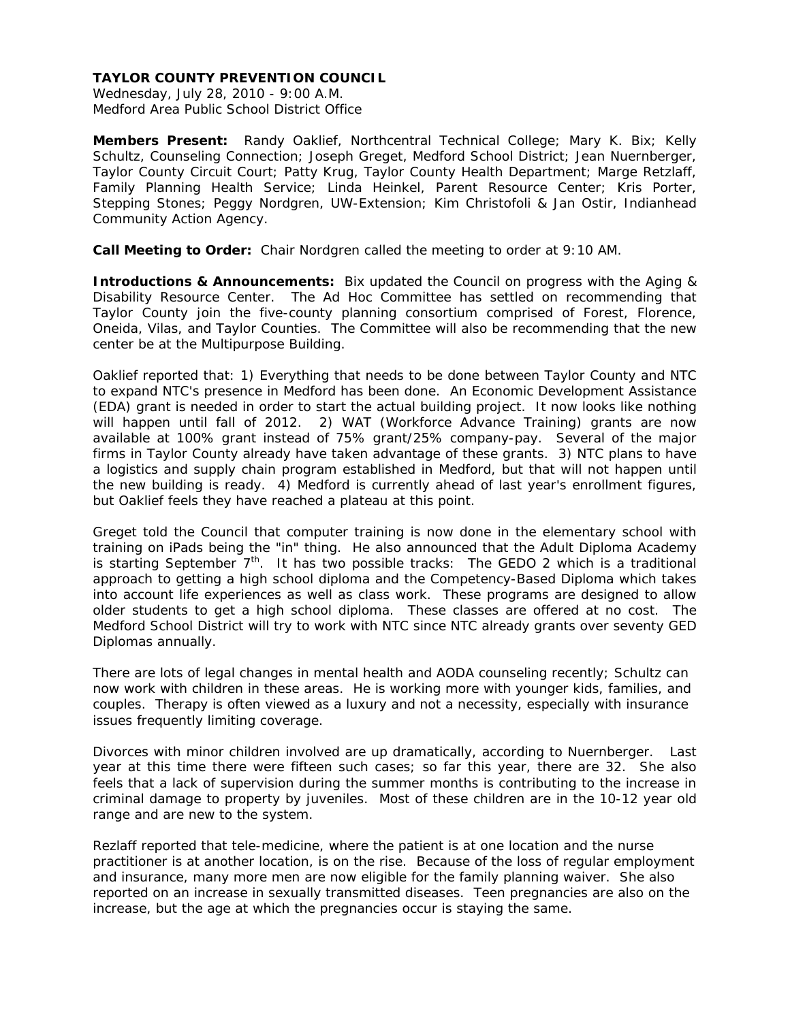Wednesday, July 28, 2010 - 9:00 A.M. Medford Area Public School District Office

**Members Present:** Randy Oaklief, Northcentral Technical College; Mary K. Bix; Kelly Schultz, Counseling Connection; Joseph Greget, Medford School District; Jean Nuernberger, Taylor County Circuit Court; Patty Krug, Taylor County Health Department; Marge Retzlaff, Family Planning Health Service; Linda Heinkel, Parent Resource Center; Kris Porter, Stepping Stones; Peggy Nordgren, UW-Extension; Kim Christofoli & Jan Ostir, Indianhead Community Action Agency.

**Call Meeting to Order:** Chair Nordgren called the meeting to order at 9:10 AM.

**Introductions & Announcements:** Bix updated the Council on progress with the Aging & Disability Resource Center. The Ad Hoc Committee has settled on recommending that Taylor County join the five-county planning consortium comprised of Forest, Florence, Oneida, Vilas, and Taylor Counties. The Committee will also be recommending that the new center be at the Multipurpose Building.

Oaklief reported that: 1) Everything that needs to be done between Taylor County and NTC to expand NTC's presence in Medford has been done. An Economic Development Assistance (EDA) grant is needed in order to start the actual building project. It now looks like nothing will happen until fall of 2012. 2) WAT (Workforce Advance Training) grants are now available at 100% grant instead of 75% grant/25% company-pay. Several of the major firms in Taylor County already have taken advantage of these grants. 3) NTC plans to have a logistics and supply chain program established in Medford, but that will not happen until the new building is ready. 4) Medford is currently ahead of last year's enrollment figures, but Oaklief feels they have reached a plateau at this point.

Greget told the Council that computer training is now done in the elementary school with training on iPads being the "in" thing. He also announced that the Adult Diploma Academy is starting September  $7<sup>th</sup>$ . It has two possible tracks: The GEDO 2 which is a traditional approach to getting a high school diploma and the Competency-Based Diploma which takes into account life experiences as well as class work. These programs are designed to allow older students to get a high school diploma. These classes are offered at no cost. The Medford School District will try to work with NTC since NTC already grants over seventy GED Diplomas annually.

There are lots of legal changes in mental health and AODA counseling recently; Schultz can now work with children in these areas. He is working more with younger kids, families, and couples. Therapy is often viewed as a luxury and not a necessity, especially with insurance issues frequently limiting coverage.

Divorces with minor children involved are up dramatically, according to Nuernberger. Last year at this time there were fifteen such cases; so far this year, there are 32. She also feels that a lack of supervision during the summer months is contributing to the increase in criminal damage to property by juveniles. Most of these children are in the 10-12 year old range and are new to the system.

Rezlaff reported that tele-medicine, where the patient is at one location and the nurse practitioner is at another location, is on the rise. Because of the loss of regular employment and insurance, many more men are now eligible for the family planning waiver. She also reported on an increase in sexually transmitted diseases. Teen pregnancies are also on the increase, but the age at which the pregnancies occur is staying the same.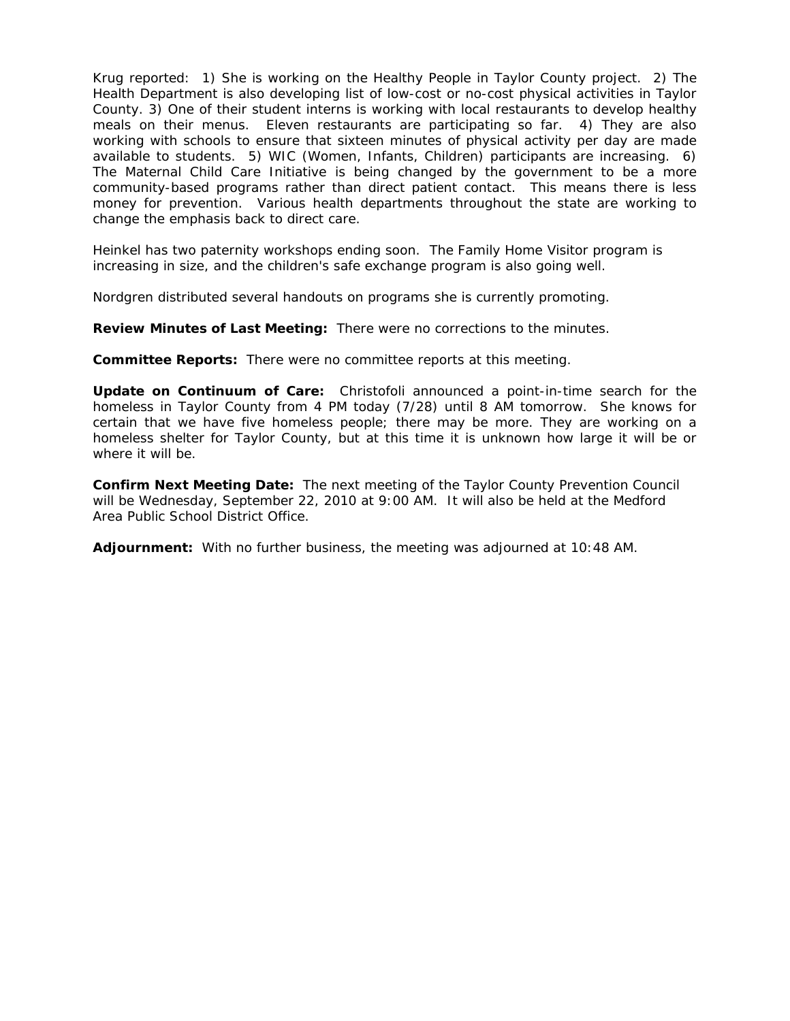Krug reported: 1) She is working on the Healthy People in Taylor County project. 2) The Health Department is also developing list of low-cost or no-cost physical activities in Taylor County. 3) One of their student interns is working with local restaurants to develop healthy meals on their menus. Eleven restaurants are participating so far. 4) They are also working with schools to ensure that sixteen minutes of physical activity per day are made available to students. 5) WIC (Women, Infants, Children) participants are increasing. 6) The Maternal Child Care Initiative is being changed by the government to be a more community-based programs rather than direct patient contact. This means there is less money for prevention. Various health departments throughout the state are working to change the emphasis back to direct care.

Heinkel has two paternity workshops ending soon. The Family Home Visitor program is increasing in size, and the children's safe exchange program is also going well.

Nordgren distributed several handouts on programs she is currently promoting.

**Review Minutes of Last Meeting:** There were no corrections to the minutes.

**Committee Reports:** There were no committee reports at this meeting.

**Update on Continuum of Care:** Christofoli announced a point-in-time search for the homeless in Taylor County from 4 PM today (7/28) until 8 AM tomorrow. She knows for certain that we have five homeless people; there may be more. They are working on a homeless shelter for Taylor County, but at this time it is unknown how large it will be or where it will be.

**Confirm Next Meeting Date:** The next meeting of the Taylor County Prevention Council will be Wednesday, September 22, 2010 at 9:00 AM. It will also be held at the Medford Area Public School District Office.

**Adjournment:** With no further business, the meeting was adjourned at 10:48 AM.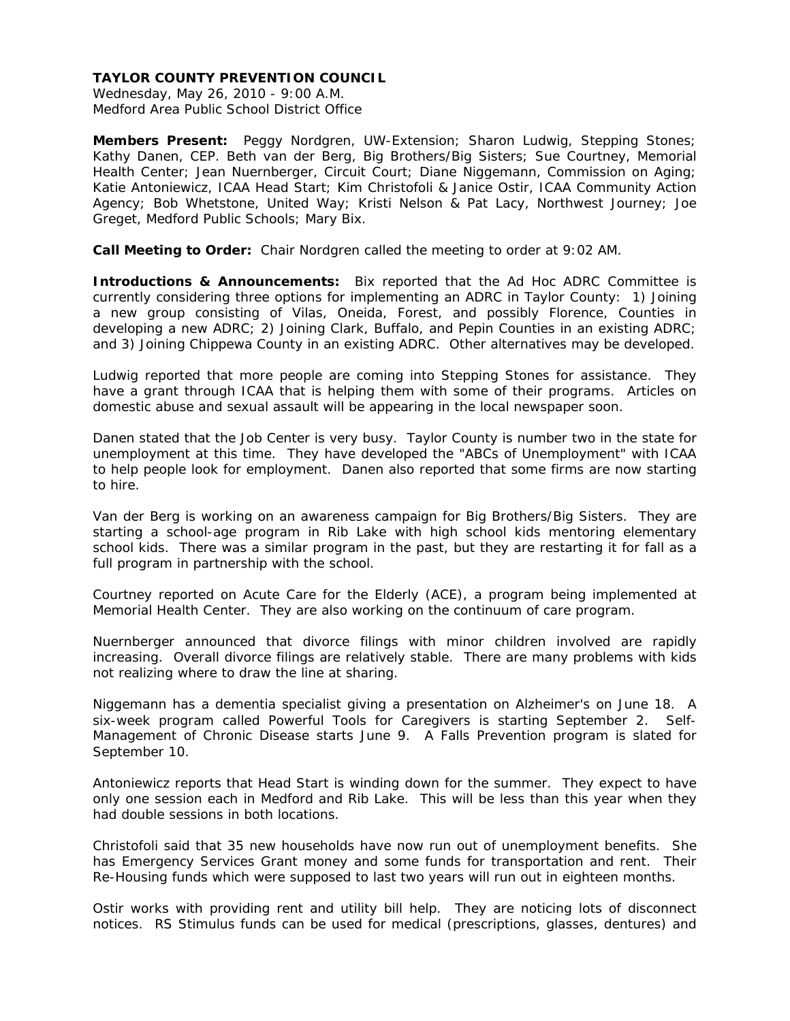Wednesday, May 26, 2010 - 9:00 A.M. Medford Area Public School District Office

**Members Present:** Peggy Nordgren, UW-Extension; Sharon Ludwig, Stepping Stones; Kathy Danen, CEP. Beth van der Berg, Big Brothers/Big Sisters; Sue Courtney, Memorial Health Center; Jean Nuernberger, Circuit Court; Diane Niggemann, Commission on Aging; Katie Antoniewicz, ICAA Head Start; Kim Christofoli & Janice Ostir, ICAA Community Action Agency; Bob Whetstone, United Way; Kristi Nelson & Pat Lacy, Northwest Journey; Joe Greget, Medford Public Schools; Mary Bix.

**Call Meeting to Order:** Chair Nordgren called the meeting to order at 9:02 AM.

**Introductions & Announcements:** Bix reported that the Ad Hoc ADRC Committee is currently considering three options for implementing an ADRC in Taylor County: 1) Joining a new group consisting of Vilas, Oneida, Forest, and possibly Florence, Counties in developing a new ADRC; 2) Joining Clark, Buffalo, and Pepin Counties in an existing ADRC; and 3) Joining Chippewa County in an existing ADRC. Other alternatives may be developed.

Ludwig reported that more people are coming into Stepping Stones for assistance. They have a grant through ICAA that is helping them with some of their programs. Articles on domestic abuse and sexual assault will be appearing in the local newspaper soon.

Danen stated that the Job Center is very busy. Taylor County is number two in the state for unemployment at this time. They have developed the "ABCs of Unemployment" with ICAA to help people look for employment. Danen also reported that some firms are now starting to hire.

Van der Berg is working on an awareness campaign for Big Brothers/Big Sisters. They are starting a school-age program in Rib Lake with high school kids mentoring elementary school kids. There was a similar program in the past, but they are restarting it for fall as a full program in partnership with the school.

Courtney reported on Acute Care for the Elderly (ACE), a program being implemented at Memorial Health Center. They are also working on the continuum of care program.

Nuernberger announced that divorce filings with minor children involved are rapidly increasing. Overall divorce filings are relatively stable. There are many problems with kids not realizing where to draw the line at sharing.

Niggemann has a dementia specialist giving a presentation on Alzheimer's on June 18. A six-week program called Powerful Tools for Caregivers is starting September 2. Self-Management of Chronic Disease starts June 9. A Falls Prevention program is slated for September 10.

Antoniewicz reports that Head Start is winding down for the summer. They expect to have only one session each in Medford and Rib Lake. This will be less than this year when they had double sessions in both locations.

Christofoli said that 35 new households have now run out of unemployment benefits. She has Emergency Services Grant money and some funds for transportation and rent. Their Re-Housing funds which were supposed to last two years will run out in eighteen months.

Ostir works with providing rent and utility bill help. They are noticing lots of disconnect notices. RS Stimulus funds can be used for medical (prescriptions, glasses, dentures) and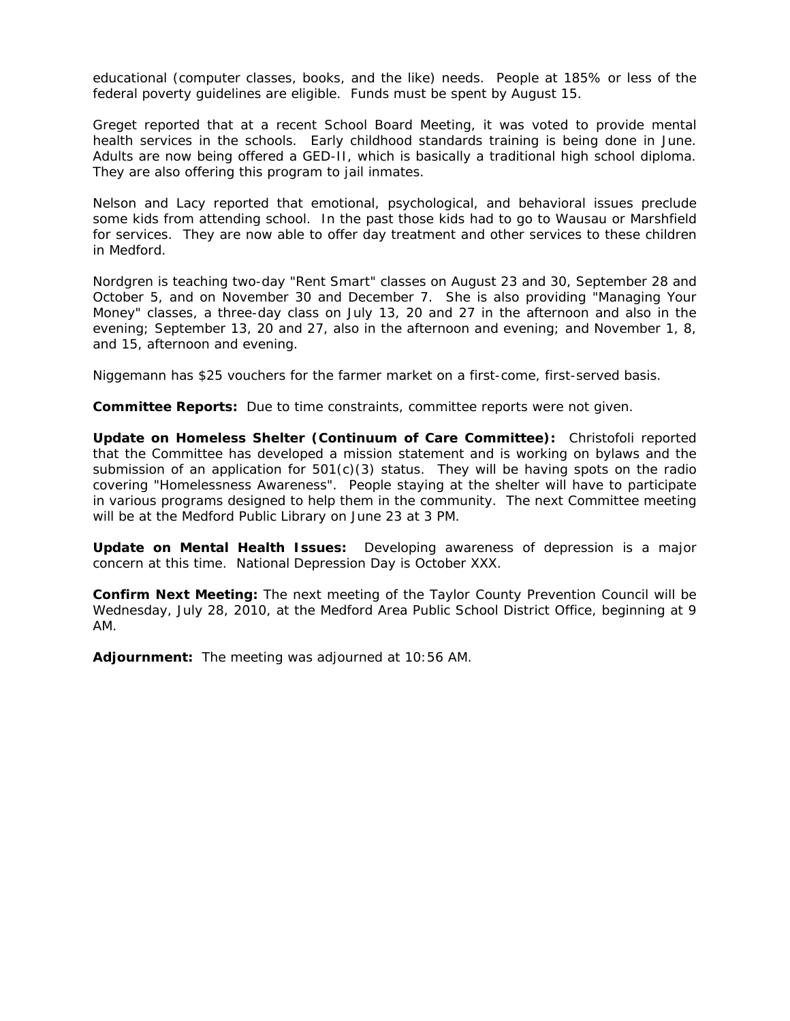educational (computer classes, books, and the like) needs. People at 185% or less of the federal poverty guidelines are eligible. Funds must be spent by August 15.

Greget reported that at a recent School Board Meeting, it was voted to provide mental health services in the schools. Early childhood standards training is being done in June. Adults are now being offered a GED-II, which is basically a traditional high school diploma. They are also offering this program to jail inmates.

Nelson and Lacy reported that emotional, psychological, and behavioral issues preclude some kids from attending school. In the past those kids had to go to Wausau or Marshfield for services. They are now able to offer day treatment and other services to these children in Medford.

Nordgren is teaching two-day "Rent Smart" classes on August 23 and 30, September 28 and October 5, and on November 30 and December 7. She is also providing "Managing Your Money" classes, a three-day class on July 13, 20 and 27 in the afternoon and also in the evening; September 13, 20 and 27, also in the afternoon and evening; and November 1, 8, and 15, afternoon and evening.

Niggemann has \$25 vouchers for the farmer market on a first-come, first-served basis.

**Committee Reports:** Due to time constraints, committee reports were not given.

**Update on Homeless Shelter (Continuum of Care Committee):** Christofoli reported that the Committee has developed a mission statement and is working on bylaws and the submission of an application for  $501(c)(3)$  status. They will be having spots on the radio covering "Homelessness Awareness". People staying at the shelter will have to participate in various programs designed to help them in the community. The next Committee meeting will be at the Medford Public Library on June 23 at 3 PM.

**Update on Mental Health Issues:** Developing awareness of depression is a major concern at this time. National Depression Day is October XXX.

**Confirm Next Meeting:** The next meeting of the Taylor County Prevention Council will be Wednesday, July 28, 2010, at the Medford Area Public School District Office, beginning at 9 AM.

**Adjournment:** The meeting was adjourned at 10:56 AM.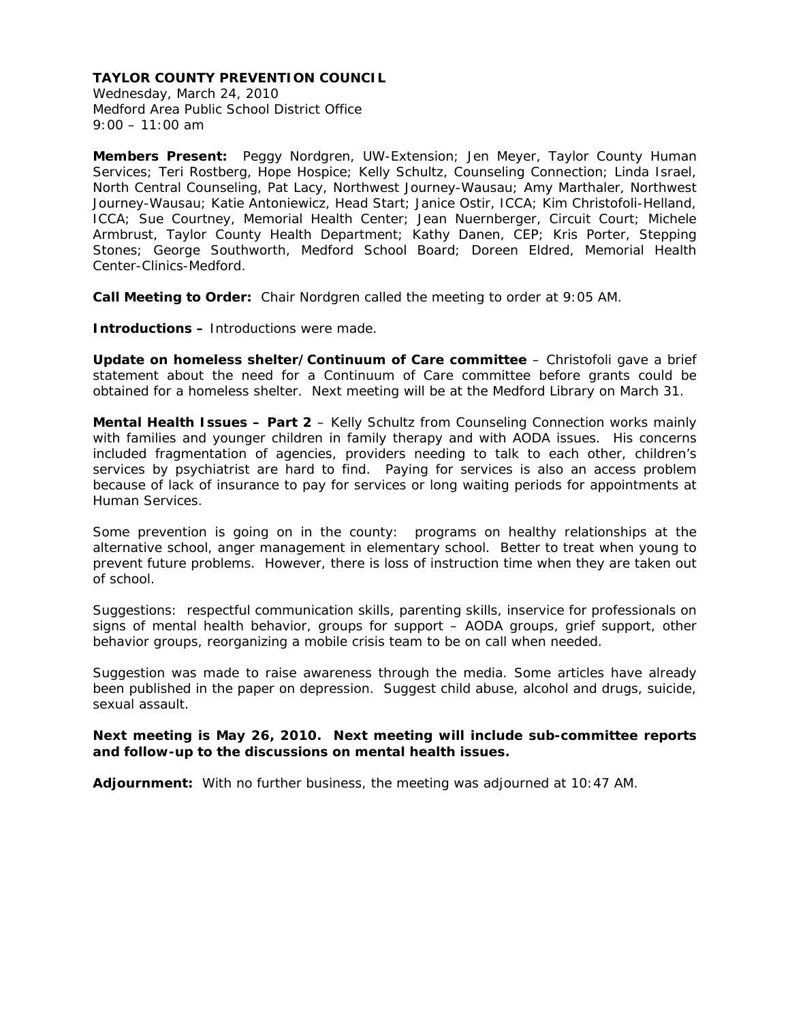Wednesday, March 24, 2010 Medford Area Public School District Office  $9:00 - 11:00$  am

**Members Present:** Peggy Nordgren, UW-Extension; Jen Meyer, Taylor County Human Services; Teri Rostberg, Hope Hospice; Kelly Schultz, Counseling Connection; Linda Israel, North Central Counseling, Pat Lacy, Northwest Journey-Wausau; Amy Marthaler, Northwest Journey-Wausau; Katie Antoniewicz, Head Start; Janice Ostir, ICCA; Kim Christofoli-Helland, ICCA; Sue Courtney, Memorial Health Center; Jean Nuernberger, Circuit Court; Michele Armbrust, Taylor County Health Department; Kathy Danen, CEP; Kris Porter, Stepping Stones; George Southworth, Medford School Board; Doreen Eldred, Memorial Health Center-Clinics-Medford.

**Call Meeting to Order:** Chair Nordgren called the meeting to order at 9:05 AM.

**Introductions –** Introductions were made.

**Update on homeless shelter/Continuum of Care committee** – Christofoli gave a brief statement about the need for a Continuum of Care committee before grants could be obtained for a homeless shelter. Next meeting will be at the Medford Library on March 31.

**Mental Health Issues – Part 2** – Kelly Schultz from Counseling Connection works mainly with families and younger children in family therapy and with AODA issues. His concerns included fragmentation of agencies, providers needing to talk to each other, children's services by psychiatrist are hard to find. Paying for services is also an access problem because of lack of insurance to pay for services or long waiting periods for appointments at Human Services.

Some prevention is going on in the county: programs on healthy relationships at the alternative school, anger management in elementary school. Better to treat when young to prevent future problems. However, there is loss of instruction time when they are taken out of school.

Suggestions: respectful communication skills, parenting skills, inservice for professionals on signs of mental health behavior, groups for support – AODA groups, grief support, other behavior groups, reorganizing a mobile crisis team to be on call when needed.

Suggestion was made to raise awareness through the media. Some articles have already been published in the paper on depression. Suggest child abuse, alcohol and drugs, suicide, sexual assault.

**Next meeting is May 26, 2010. Next meeting will include sub-committee reports and follow-up to the discussions on mental health issues.** 

**Adjournment:** With no further business, the meeting was adjourned at 10:47 AM.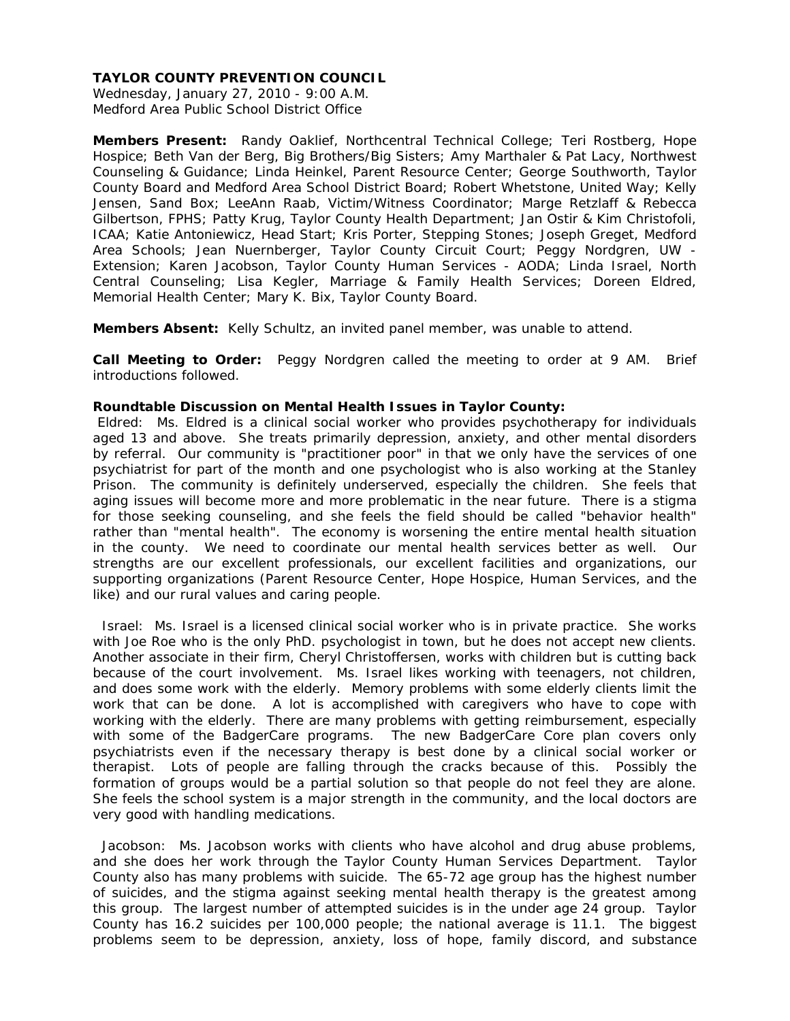Wednesday, January 27, 2010 - 9:00 A.M. Medford Area Public School District Office

**Members Present:** Randy Oaklief, Northcentral Technical College; Teri Rostberg, Hope Hospice; Beth Van der Berg, Big Brothers/Big Sisters; Amy Marthaler & Pat Lacy, Northwest Counseling & Guidance; Linda Heinkel, Parent Resource Center; George Southworth, Taylor County Board and Medford Area School District Board; Robert Whetstone, United Way; Kelly Jensen, Sand Box; LeeAnn Raab, Victim/Witness Coordinator; Marge Retzlaff & Rebecca Gilbertson, FPHS; Patty Krug, Taylor County Health Department; Jan Ostir & Kim Christofoli, ICAA; Katie Antoniewicz, Head Start; Kris Porter, Stepping Stones; Joseph Greget, Medford Area Schools; Jean Nuernberger, Taylor County Circuit Court; Peggy Nordgren, UW - Extension; Karen Jacobson, Taylor County Human Services - AODA; Linda Israel, North Central Counseling; Lisa Kegler, Marriage & Family Health Services; Doreen Eldred, Memorial Health Center; Mary K. Bix, Taylor County Board.

**Members Absent:** Kelly Schultz, an invited panel member, was unable to attend.

**Call Meeting to Order:** Peggy Nordgren called the meeting to order at 9 AM. Brief introductions followed.

#### **Roundtable Discussion on Mental Health Issues in Taylor County:**

 Eldred: Ms. Eldred is a clinical social worker who provides psychotherapy for individuals aged 13 and above. She treats primarily depression, anxiety, and other mental disorders by referral. Our community is "practitioner poor" in that we only have the services of one psychiatrist for part of the month and one psychologist who is also working at the Stanley Prison. The community is definitely underserved, especially the children. She feels that aging issues will become more and more problematic in the near future. There is a stigma for those seeking counseling, and she feels the field should be called "behavior health" rather than "mental health". The economy is worsening the entire mental health situation in the county. We need to coordinate our mental health services better as well. Our strengths are our excellent professionals, our excellent facilities and organizations, our supporting organizations (Parent Resource Center, Hope Hospice, Human Services, and the like) and our rural values and caring people.

 Israel: Ms. Israel is a licensed clinical social worker who is in private practice. She works with Joe Roe who is the only PhD. psychologist in town, but he does not accept new clients. Another associate in their firm, Cheryl Christoffersen, works with children but is cutting back because of the court involvement. Ms. Israel likes working with teenagers, not children, and does some work with the elderly. Memory problems with some elderly clients limit the work that can be done. A lot is accomplished with caregivers who have to cope with working with the elderly. There are many problems with getting reimbursement, especially with some of the BadgerCare programs. The new BadgerCare Core plan covers only psychiatrists even if the necessary therapy is best done by a clinical social worker or therapist. Lots of people are falling through the cracks because of this. Possibly the formation of groups would be a partial solution so that people do not feel they are alone. She feels the school system is a major strength in the community, and the local doctors are very good with handling medications.

 Jacobson: Ms. Jacobson works with clients who have alcohol and drug abuse problems, and she does her work through the Taylor County Human Services Department. Taylor County also has many problems with suicide. The 65-72 age group has the highest number of suicides, and the stigma against seeking mental health therapy is the greatest among this group. The largest number of attempted suicides is in the under age 24 group. Taylor County has 16.2 suicides per 100,000 people; the national average is 11.1. The biggest problems seem to be depression, anxiety, loss of hope, family discord, and substance